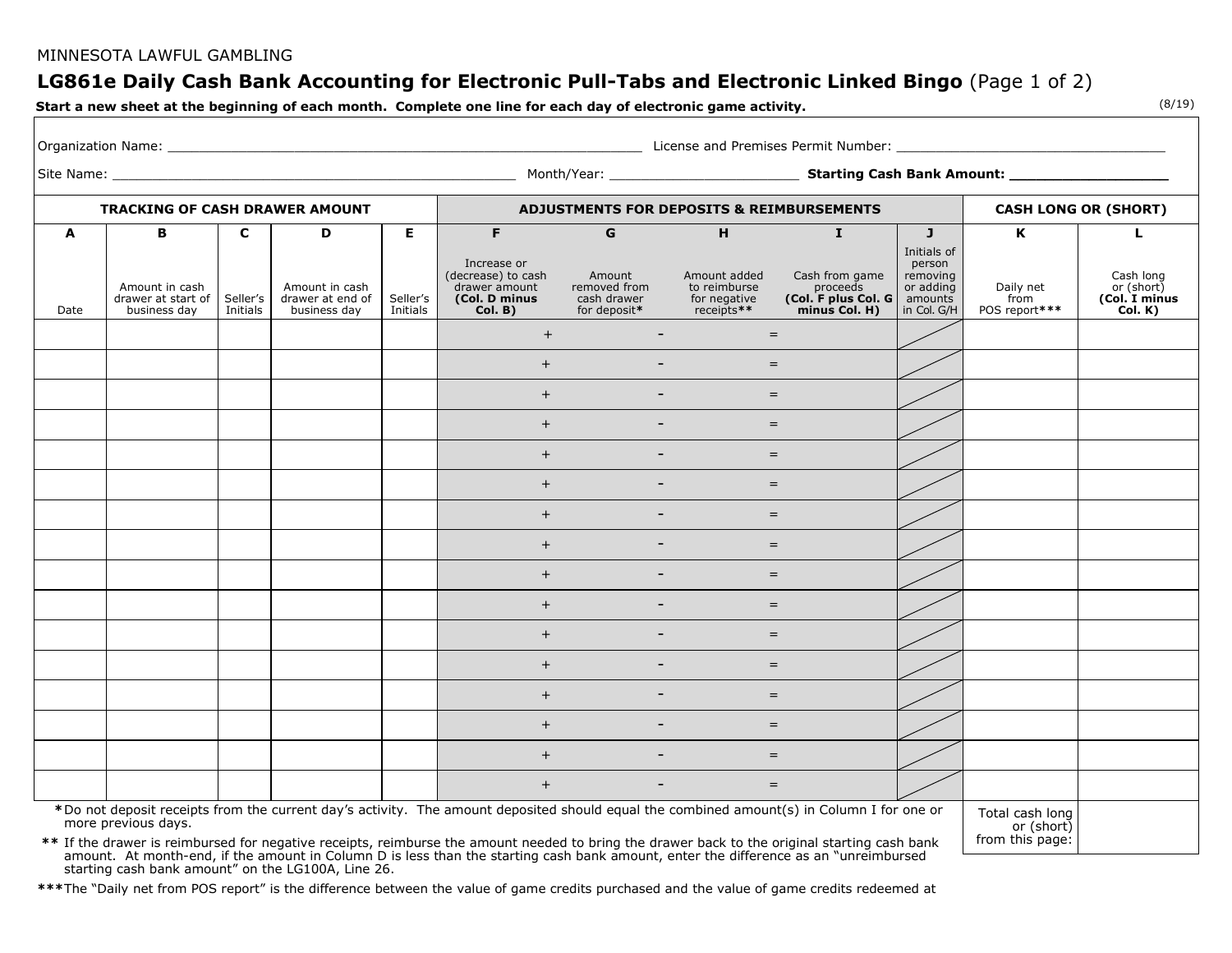### MINNESOTA LAWFUL GAMBLING

# **LG861e Daily Cash Bank Accounting for Electronic Pull-Tabs and Electronic Linked Bingo** (Page 1 of 2)

**Start a new sheet at the beginning of each month. Complete one line for each day of electronic game activity.**

|              | <b>TRACKING OF CASH DRAWER AMOUNT</b>                |                      |                                                    |                      | <b>ADJUSTMENTS FOR DEPOSITS &amp; REIMBURSEMENTS</b>                           |                                                                                                |                                 |                                                                    | <b>CASH LONG OR (SHORT)</b>                                              |                                    |                                                     |  |
|--------------|------------------------------------------------------|----------------------|----------------------------------------------------|----------------------|--------------------------------------------------------------------------------|------------------------------------------------------------------------------------------------|---------------------------------|--------------------------------------------------------------------|--------------------------------------------------------------------------|------------------------------------|-----------------------------------------------------|--|
| $\mathbf{A}$ | B                                                    | C                    | D                                                  | $\overline{E}$       | F                                                                              | G                                                                                              | H                               | $\mathbf{I}$                                                       | $\mathbf{J}$                                                             | $\mathbf{K}$                       | L.                                                  |  |
| Date         | Amount in cash<br>drawer at start of<br>business day | Seller's<br>Initials | Amount in cash<br>drawer at end of<br>business day | Seller's<br>Initials | Increase or<br>(decrease) to cash<br>drawer amount<br>(Col. D minus<br>Col. B) | <b>Example 1</b> Amount<br>removed from<br>cash drawer for negative<br>for deposit* receipts** | Amount added<br>to reimburse    | Cash from game<br>proceeds<br>(Col. F plus Col. G<br>minus Col. H) | Initials of<br>person<br>removing<br>or adding<br>amounts<br>in Col. G/H | Daily net<br>from<br>POS report*** | Cash long<br>or (short)<br>(Col. I minus<br>Col. K) |  |
|              |                                                      |                      |                                                    |                      | $+$                                                                            | $\sim$                                                                                         | $=$                             |                                                                    |                                                                          |                                    |                                                     |  |
|              |                                                      |                      |                                                    |                      | $+$                                                                            |                                                                                                | $=$                             |                                                                    |                                                                          |                                    |                                                     |  |
|              |                                                      |                      |                                                    |                      | $+$                                                                            |                                                                                                | <b>Contract Contract</b><br>$=$ |                                                                    |                                                                          |                                    |                                                     |  |
|              |                                                      |                      |                                                    |                      | $+$                                                                            | $\sim$                                                                                         | $=$                             |                                                                    |                                                                          |                                    |                                                     |  |
|              |                                                      |                      |                                                    |                      | $+$                                                                            | $\overline{\phantom{a}}$                                                                       | $=$                             |                                                                    |                                                                          |                                    |                                                     |  |
|              |                                                      |                      |                                                    |                      | $+$                                                                            | $\sim$                                                                                         | $=$                             |                                                                    |                                                                          |                                    |                                                     |  |
|              |                                                      |                      |                                                    |                      | $+$                                                                            | $\overline{\phantom{a}}$                                                                       | $=$                             |                                                                    |                                                                          |                                    |                                                     |  |
|              |                                                      |                      |                                                    |                      | $+$                                                                            | $\overline{\phantom{a}}$                                                                       | $=$                             |                                                                    |                                                                          |                                    |                                                     |  |
|              |                                                      |                      |                                                    |                      | $+$                                                                            |                                                                                                | $=$                             |                                                                    |                                                                          |                                    |                                                     |  |
|              |                                                      |                      |                                                    |                      | $+$                                                                            | $\overline{\phantom{a}}$                                                                       | $=$                             |                                                                    |                                                                          |                                    |                                                     |  |
|              |                                                      |                      |                                                    |                      | $+$                                                                            |                                                                                                | $=$                             |                                                                    |                                                                          |                                    |                                                     |  |
|              |                                                      |                      |                                                    |                      | $+$                                                                            | $\overline{\phantom{a}}$                                                                       | $=$                             |                                                                    |                                                                          |                                    |                                                     |  |
|              |                                                      |                      |                                                    |                      | $+$                                                                            |                                                                                                | $=$                             |                                                                    |                                                                          |                                    |                                                     |  |
|              |                                                      |                      |                                                    |                      | $+$                                                                            | $\sim$                                                                                         | $=$                             |                                                                    |                                                                          |                                    |                                                     |  |
|              |                                                      |                      |                                                    |                      |                                                                                |                                                                                                |                                 |                                                                    |                                                                          |                                    |                                                     |  |
|              |                                                      |                      |                                                    |                      | $+$                                                                            | $\overline{\phantom{a}}$                                                                       | $=$                             |                                                                    |                                                                          |                                    |                                                     |  |
|              |                                                      |                      |                                                    |                      | $+$                                                                            |                                                                                                | $=$                             |                                                                    |                                                                          |                                    |                                                     |  |

 **\***Do not deposit receipts from the current day's activity. The amount deposited should equal the combined amount(s) in Column I for one or more previous days.

Total cash long or (short) from this page:

**\*\*** If the drawer is reimbursed for negative receipts, reimburse the amount needed to bring the drawer back to the original starting cash bank amount. At month-end, if the amount in Column D is less than the starting cash bank amount, enter the difference as an "unreimbursed starting cash bank amount" on the LG100A, Line 26.

**\*\*\***The "Daily net from POS report" is the difference between the value of game credits purchased and the value of game credits redeemed at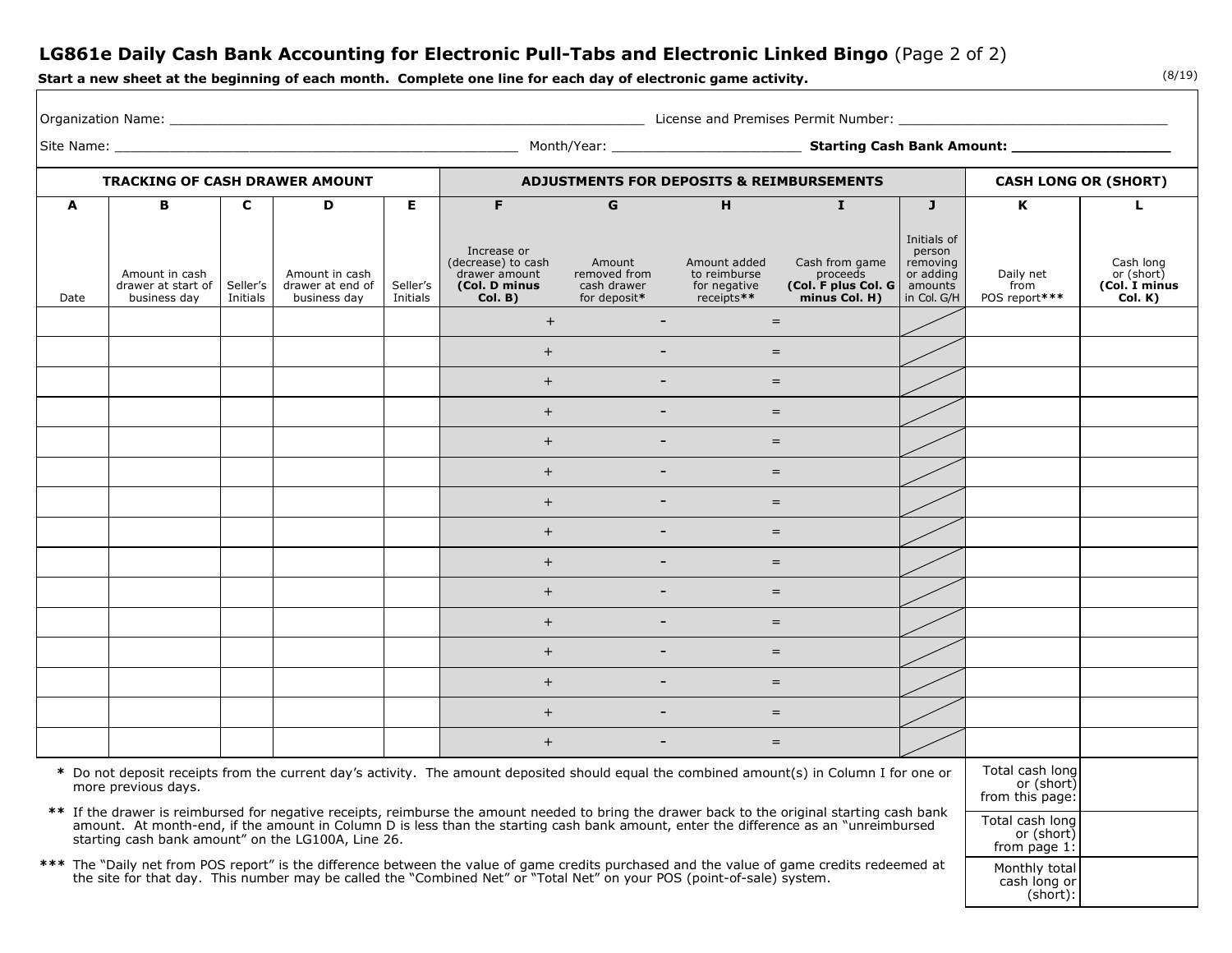## **LG861e Daily Cash Bank Accounting for Electronic Pull-Tabs and Electronic Linked Bingo** (Page 2 of 2)

**Start a new sheet at the beginning of each month. Complete one line for each day of electronic game activity.**

(8/19)

| Organization Name:                                                                                                                                                                                                                                                                                                                          |                                                      |                      |                                                    |                      | <u>and the set of the set of the set of the set of the set of the set of the set of the set of the set of the set of the set of the set of the set of the set of the set of the set of the set of the set of the set of the set </u> |                                                       |                                                            |                                                                    |                                                                          |                                                  |                                                     |  |
|---------------------------------------------------------------------------------------------------------------------------------------------------------------------------------------------------------------------------------------------------------------------------------------------------------------------------------------------|------------------------------------------------------|----------------------|----------------------------------------------------|----------------------|--------------------------------------------------------------------------------------------------------------------------------------------------------------------------------------------------------------------------------------|-------------------------------------------------------|------------------------------------------------------------|--------------------------------------------------------------------|--------------------------------------------------------------------------|--------------------------------------------------|-----------------------------------------------------|--|
| <b>TRACKING OF CASH DRAWER AMOUNT</b>                                                                                                                                                                                                                                                                                                       |                                                      |                      |                                                    |                      |                                                                                                                                                                                                                                      |                                                       |                                                            |                                                                    |                                                                          |                                                  |                                                     |  |
|                                                                                                                                                                                                                                                                                                                                             |                                                      |                      |                                                    |                      | <b>ADJUSTMENTS FOR DEPOSITS &amp; REIMBURSEMENTS</b>                                                                                                                                                                                 |                                                       |                                                            |                                                                    | <b>CASH LONG OR (SHORT)</b>                                              |                                                  |                                                     |  |
| A                                                                                                                                                                                                                                                                                                                                           | в                                                    | C                    | D                                                  | E.                   | F.                                                                                                                                                                                                                                   | G                                                     | H                                                          | $\mathbf{I}$                                                       | $\mathbf{J}$                                                             | K                                                | L                                                   |  |
| Date                                                                                                                                                                                                                                                                                                                                        | Amount in cash<br>drawer at start of<br>business day | Seller's<br>Initials | Amount in cash<br>drawer at end of<br>business day | Seller's<br>Initials | Increase or<br>(decrease) to cash<br>drawer amount<br>(Col. D minus<br>Col. B)                                                                                                                                                       | Amount<br>removed from<br>cash drawer<br>for deposit* | Amount added<br>to reimburse<br>for negative<br>receipts** | Cash from game<br>proceeds<br>(Col. F plus Col. G<br>minus Col. H) | Initials of<br>person<br>removing<br>or adding<br>amounts<br>in Col. G/H | Daily net<br>from<br>POS report***               | Cash long<br>or (short)<br>(Col. I minus<br>Col. K) |  |
|                                                                                                                                                                                                                                                                                                                                             |                                                      |                      |                                                    |                      | $+$                                                                                                                                                                                                                                  | $\blacksquare$                                        |                                                            | $=$                                                                |                                                                          |                                                  |                                                     |  |
|                                                                                                                                                                                                                                                                                                                                             |                                                      |                      |                                                    |                      | $+$                                                                                                                                                                                                                                  | $\overline{\phantom{a}}$                              |                                                            | $=$                                                                |                                                                          |                                                  |                                                     |  |
|                                                                                                                                                                                                                                                                                                                                             |                                                      |                      |                                                    |                      | $+$                                                                                                                                                                                                                                  | $\overline{\phantom{a}}$                              |                                                            | $=$                                                                |                                                                          |                                                  |                                                     |  |
|                                                                                                                                                                                                                                                                                                                                             |                                                      |                      |                                                    |                      | $+$                                                                                                                                                                                                                                  | $\overline{\phantom{a}}$                              |                                                            | $=$                                                                |                                                                          |                                                  |                                                     |  |
|                                                                                                                                                                                                                                                                                                                                             |                                                      |                      |                                                    |                      | $+$                                                                                                                                                                                                                                  | $\sim$                                                |                                                            | $=$                                                                |                                                                          |                                                  |                                                     |  |
|                                                                                                                                                                                                                                                                                                                                             |                                                      |                      |                                                    |                      | $+$                                                                                                                                                                                                                                  |                                                       |                                                            | $=$                                                                |                                                                          |                                                  |                                                     |  |
|                                                                                                                                                                                                                                                                                                                                             |                                                      |                      |                                                    |                      | $+$                                                                                                                                                                                                                                  | $\sim$                                                |                                                            | $=$                                                                |                                                                          |                                                  |                                                     |  |
|                                                                                                                                                                                                                                                                                                                                             |                                                      |                      |                                                    |                      | $+$                                                                                                                                                                                                                                  | $\overline{\phantom{a}}$                              |                                                            | $=$                                                                |                                                                          |                                                  |                                                     |  |
|                                                                                                                                                                                                                                                                                                                                             |                                                      |                      |                                                    |                      | $+$                                                                                                                                                                                                                                  | $\sim$                                                |                                                            | $=$                                                                |                                                                          |                                                  |                                                     |  |
|                                                                                                                                                                                                                                                                                                                                             |                                                      |                      |                                                    |                      | $+$                                                                                                                                                                                                                                  | $\overline{\phantom{a}}$                              |                                                            | $=$                                                                |                                                                          |                                                  |                                                     |  |
|                                                                                                                                                                                                                                                                                                                                             |                                                      |                      |                                                    |                      | $+$                                                                                                                                                                                                                                  | $\sim$                                                |                                                            | $=$                                                                |                                                                          |                                                  |                                                     |  |
|                                                                                                                                                                                                                                                                                                                                             |                                                      |                      |                                                    |                      | $+$                                                                                                                                                                                                                                  | $\sim$ $-$                                            |                                                            | $=$                                                                |                                                                          |                                                  |                                                     |  |
|                                                                                                                                                                                                                                                                                                                                             |                                                      |                      |                                                    |                      | $+$                                                                                                                                                                                                                                  |                                                       |                                                            | $=$                                                                |                                                                          |                                                  |                                                     |  |
|                                                                                                                                                                                                                                                                                                                                             |                                                      |                      |                                                    |                      | $+$                                                                                                                                                                                                                                  | $\sim$                                                |                                                            | $=$                                                                |                                                                          |                                                  |                                                     |  |
|                                                                                                                                                                                                                                                                                                                                             |                                                      |                      |                                                    |                      | $+$                                                                                                                                                                                                                                  | $\sim$                                                |                                                            | $=$                                                                |                                                                          |                                                  |                                                     |  |
|                                                                                                                                                                                                                                                                                                                                             |                                                      |                      |                                                    |                      |                                                                                                                                                                                                                                      |                                                       |                                                            |                                                                    |                                                                          | Total cash long                                  |                                                     |  |
| * Do not deposit receipts from the current day's activity. The amount deposited should equal the combined amount(s) in Column I for one or<br>more previous days.                                                                                                                                                                           |                                                      |                      |                                                    |                      |                                                                                                                                                                                                                                      |                                                       |                                                            |                                                                    | or (short)<br>from this page:                                            |                                                  |                                                     |  |
| ** If the drawer is reimbursed for negative receipts, reimburse the amount needed to bring the drawer back to the original starting cash bank<br>amount. At month-end, if the amount in Column D is less than the starting cash bank amount, enter the difference as an "unreimbursed<br>starting cash bank amount" on the LG100A, Line 26. |                                                      |                      |                                                    |                      |                                                                                                                                                                                                                                      |                                                       |                                                            |                                                                    |                                                                          | Total cash long<br>or (short)<br>from page $1$ : |                                                     |  |
| *** The "Daily net from POS report" is the difference between the value of game credits purchased and the value of game credits redeemed at<br>the site for that day. This number may be called the "Combined Net" or "Total Net" on your POS (point-of-sale) system.                                                                       |                                                      |                      |                                                    |                      |                                                                                                                                                                                                                                      |                                                       |                                                            |                                                                    | Monthly total<br>cash long or<br>(short):                                |                                                  |                                                     |  |